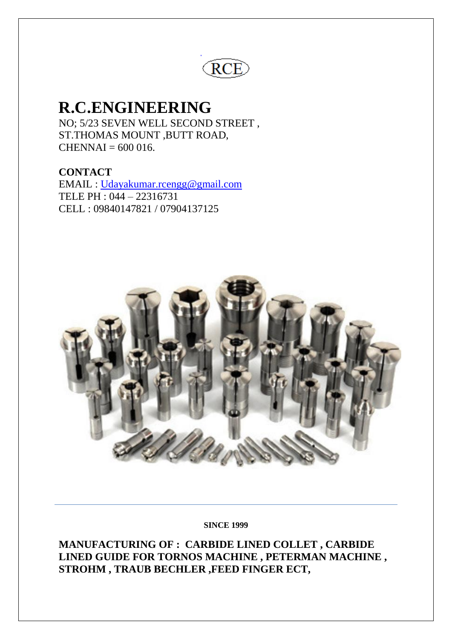

# **R.C.ENGINEERING**

NO; 5/23 SEVEN WELL SECOND STREET , ST.THOMAS MOUNT ,BUTT ROAD,  $CHENNAI = 600 016.$ 

**CONTACT**  EMAIL : [Udayakumar.rcengg@gmail.com](mailto:Udayakumar.rcengg@gmail.com)  TELE PH : 044 – 22316731 CELL : 09840147821 / 07904137125



#### **SINCE 1999**

**MANUFACTURING OF : CARBIDE LINED COLLET , CARBIDE LINED GUIDE FOR TORNOS MACHINE , PETERMAN MACHINE , STROHM , TRAUB BECHLER ,FEED FINGER ECT,**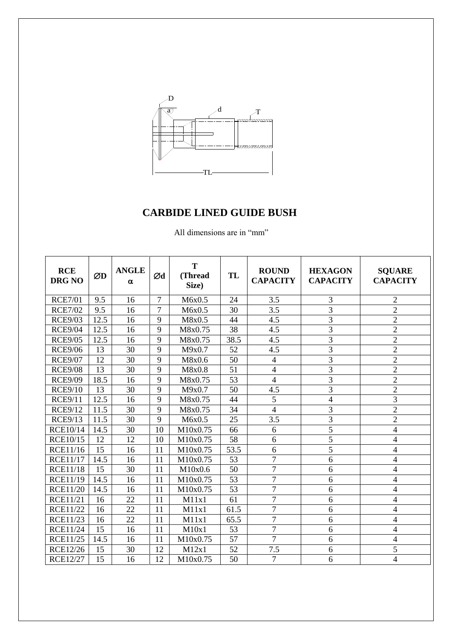

| <b>RCE</b><br><b>DRG NO</b> | ØD   | <b>ANGLE</b><br>$\alpha$ | Ød             | T<br>(Thread<br>Size) | TL   | <b>ROUND</b><br><b>CAPACITY</b> | <b>HEXAGON</b><br><b>CAPACITY</b> | <b>SQUARE</b><br><b>CAPACITY</b> |
|-----------------------------|------|--------------------------|----------------|-----------------------|------|---------------------------------|-----------------------------------|----------------------------------|
| <b>RCE7/01</b>              | 9.5  | 16                       | $\overline{7}$ | M6x0.5                | 24   | 3.5                             | 3                                 | $\overline{2}$                   |
| <b>RCE7/02</b>              | 9.5  | 16                       | 7              | M6x0.5                | 30   | 3.5                             | 3                                 | $\overline{2}$                   |
| <b>RCE9/03</b>              | 12.5 | 16                       | 9              | M8x0.5                | 44   | 4.5                             | $\overline{3}$                    | $\overline{2}$                   |
| <b>RCE9/04</b>              | 12.5 | 16                       | 9              | M8x0.75               | 38   | 4.5                             | 3                                 | $\overline{2}$                   |
| <b>RCE9/05</b>              | 12.5 | 16                       | 9              | M8x0.75               | 38.5 | 4.5                             | 3                                 | $\overline{2}$                   |
| <b>RCE9/06</b>              | 13   | 30                       | 9              | M9x0.7                | 52   | 4.5                             | $\overline{3}$                    | $\overline{2}$                   |
| <b>RCE9/07</b>              | 12   | 30                       | 9              | M8x0.6                | 50   | $\overline{4}$                  | 3                                 | $\overline{2}$                   |
| <b>RCE9/08</b>              | 13   | 30                       | 9              | M8x0.8                | 51   | 4                               | $\overline{3}$                    | $\overline{2}$                   |
| <b>RCE9/09</b>              | 18.5 | 16                       | 9              | M8x0.75               | 53   | $\overline{4}$                  | 3                                 | $\overline{2}$                   |
| <b>RCE9/10</b>              | 13   | 30                       | 9              | M9x0.7                | 50   | 4.5                             | 3                                 | $\overline{2}$                   |
| <b>RCE9/11</b>              | 12.5 | 16                       | 9              | M8x0.75               | 44   | 5                               | 4                                 | $\overline{3}$                   |
| <b>RCE9/12</b>              | 11.5 | 30                       | 9              | M8x0.75               | 34   | $\overline{4}$                  | 3                                 | $\overline{2}$                   |
| <b>RCE9/13</b>              | 11.5 | 30                       | 9              | M6x0.5                | 25   | 3.5                             | $\overline{3}$                    | $\overline{2}$                   |
| <b>RCE10/14</b>             | 14.5 | 30                       | 10             | M10x0.75              | 66   | 6                               | 5                                 | $\overline{4}$                   |
| <b>RCE10/15</b>             | 12   | 12                       | 10             | M10x0.75              | 58   | 6                               | 5                                 | $\overline{4}$                   |
| <b>RCE11/16</b>             | 15   | 16                       | 11             | M10x0.75              | 53.5 | 6                               | $\overline{5}$                    | $\overline{4}$                   |
| <b>RCE11/17</b>             | 14.5 | 16                       | 11             | M10x0.75              | 53   | $\overline{7}$                  | 6                                 | $\overline{4}$                   |
| <b>RCE11/18</b>             | 15   | 30                       | 11             | M10x0.6               | 50   | $\overline{7}$                  | 6                                 | $\overline{4}$                   |
| <b>RCE11/19</b>             | 14.5 | 16                       | 11             | M10x0.75              | 53   | $\overline{7}$                  | 6                                 | $\overline{4}$                   |
| <b>RCE11/20</b>             | 14.5 | 16                       | 11             | M10x0.75              | 53   | $\overline{7}$                  | 6                                 | $\overline{4}$                   |
| <b>RCE11/21</b>             | 16   | 22                       | 11             | M11x1                 | 61   | $\overline{7}$                  | 6                                 | $\overline{4}$                   |
| <b>RCE11/22</b>             | 16   | 22                       | 11             | M11x1                 | 61.5 | $\overline{7}$                  | 6                                 | $\overline{4}$                   |
| <b>RCE11/23</b>             | 16   | 22                       | 11             | M11x1                 | 65.5 | $\overline{7}$                  | 6                                 | $\overline{4}$                   |
| <b>RCE11/24</b>             | 15   | 16                       | 11             | M10x1                 | 53   | $\overline{7}$                  | 6                                 | $\overline{4}$                   |
| <b>RCE11/25</b>             | 14.5 | 16                       | 11             | M10x0.75              | 57   | $\overline{7}$                  | 6                                 | $\overline{4}$                   |
| <b>RCE12/26</b>             | 15   | 30                       | 12             | M12x1                 | 52   | 7.5                             | 6                                 | 5                                |
| <b>RCE12/27</b>             | 15   | 16                       | 12             | M10x0.75              | 50   | $\overline{7}$                  | 6                                 | $\overline{4}$                   |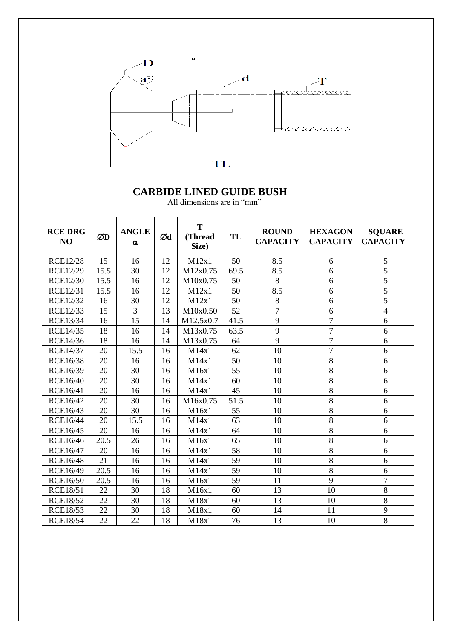

| <b>RCE DRG</b><br>NO | ØD   | <b>ANGLE</b><br>$\alpha$ | Ød | T<br>(Thread<br>Size) | TL   | <b>ROUND</b><br><b>CAPACITY</b> | <b>HEXAGON</b><br><b>CAPACITY</b> | <b>SQUARE</b><br><b>CAPACITY</b> |
|----------------------|------|--------------------------|----|-----------------------|------|---------------------------------|-----------------------------------|----------------------------------|
| <b>RCE12/28</b>      | 15   | 16                       | 12 | M12x1                 | 50   | 8.5                             | 6                                 | 5                                |
| <b>RCE12/29</b>      | 15.5 | 30                       | 12 | M12x0.75              | 69.5 | 8.5                             | $\overline{6}$                    | 5                                |
| <b>RCE12/30</b>      | 15.5 | 16                       | 12 | M10x0.75              | 50   | 8                               | 6                                 | $\overline{5}$                   |
| <b>RCE12/31</b>      | 15.5 | 16                       | 12 | M12x1                 | 50   | 8.5                             | 6                                 | $\overline{5}$                   |
| <b>RCE12/32</b>      | 16   | 30                       | 12 | M12x1                 | 50   | $8\,$                           | 6                                 | 5                                |
| RCE12/33             | 15   | 3                        | 13 | M10x0.50              | 52   | $\overline{7}$                  | 6                                 | $\overline{\mathbf{4}}$          |
| <b>RCE13/34</b>      | 16   | $\overline{15}$          | 14 | M12.5x0.7             | 41.5 | $\overline{9}$                  | $\overline{7}$                    | $\overline{6}$                   |
| <b>RCE14/35</b>      | 18   | 16                       | 14 | M13x0.75              | 63.5 | 9                               | $\overline{7}$                    | 6                                |
| <b>RCE14/36</b>      | 18   | 16                       | 14 | M13x0.75              | 64   | 9                               | $\overline{7}$                    | 6                                |
| <b>RCE14/37</b>      | 20   | 15.5                     | 16 | M14x1                 | 62   | 10                              | $\overline{7}$                    | 6                                |
| <b>RCE16/38</b>      | 20   | 16                       | 16 | M14x1                 | 50   | 10                              | 8                                 | 6                                |
| <b>RCE16/39</b>      | 20   | 30                       | 16 | M16x1                 | 55   | 10                              | 8                                 | 6                                |
| <b>RCE16/40</b>      | 20   | 30                       | 16 | M14x1                 | 60   | 10                              | $\overline{8}$                    | 6                                |
| <b>RCE16/41</b>      | 20   | 16                       | 16 | M14x1                 | 45   | 10                              | $\overline{8}$                    | 6                                |
| <b>RCE16/42</b>      | 20   | 30                       | 16 | M16x0.75              | 51.5 | 10                              | 8                                 | 6                                |
| RCE16/43             | 20   | 30                       | 16 | M16x1                 | 55   | 10                              | $\overline{8}$                    | 6                                |
| <b>RCE16/44</b>      | 20   | 15.5                     | 16 | M14x1                 | 63   | 10                              | $\overline{8}$                    | 6                                |
| <b>RCE16/45</b>      | 20   | 16                       | 16 | M14x1                 | 64   | 10                              | $\overline{8}$                    | 6                                |
| <b>RCE16/46</b>      | 20.5 | 26                       | 16 | M16x1                 | 65   | 10                              | $\overline{8}$                    | 6                                |
| <b>RCE16/47</b>      | 20   | 16                       | 16 | M14x1                 | 58   | 10                              | 8                                 | 6                                |
| <b>RCE16/48</b>      | 21   | 16                       | 16 | M14x1                 | 59   | 10                              | $\overline{8}$                    | 6                                |
| RCE16/49             | 20.5 | 16                       | 16 | M14x1                 | 59   | 10                              | 8                                 | 6                                |
| <b>RCE16/50</b>      | 20.5 | 16                       | 16 | M16x1                 | 59   | 11                              | 9                                 | $\overline{7}$                   |
| <b>RCE18/51</b>      | 22   | 30                       | 18 | M16x1                 | 60   | 13                              | 10                                | 8                                |
| <b>RCE18/52</b>      | 22   | 30                       | 18 | M18x1                 | 60   | 13                              | 10                                | 8                                |
| <b>RCE18/53</b>      | 22   | 30                       | 18 | M18x1                 | 60   | 14                              | 11                                | 9                                |
| <b>RCE18/54</b>      | 22   | 22                       | 18 | M18x1                 | 76   | 13                              | 10                                | 8                                |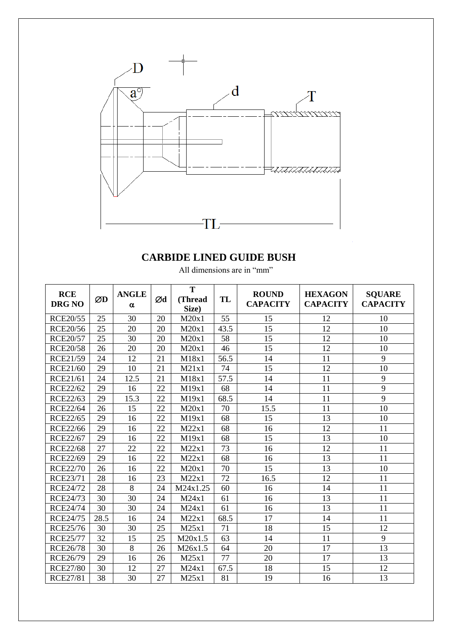

| All dimensions are in "mm" |  |  |
|----------------------------|--|--|
|                            |  |  |

| <b>RCE</b><br><b>DRG NO</b> | ØD   | <b>ANGLE</b><br>$\alpha$ | Ød | T<br>(Thread<br>Size) | TL   | <b>ROUND</b><br><b>CAPACITY</b> | <b>HEXAGON</b><br><b>CAPACITY</b> | <b>SQUARE</b><br><b>CAPACITY</b> |
|-----------------------------|------|--------------------------|----|-----------------------|------|---------------------------------|-----------------------------------|----------------------------------|
| <b>RCE20/55</b>             | 25   | 30                       | 20 | M20x1                 | 55   | 15                              | 12                                | 10                               |
| <b>RCE20/56</b>             | 25   | 20                       | 20 | M20x1                 | 43.5 | 15                              | 12                                | 10                               |
| <b>RCE20/57</b>             | 25   | 30                       | 20 | M20x1                 | 58   | 15                              | 12                                | 10                               |
| <b>RCE20/58</b>             | 26   | 20                       | 20 | M20x1                 | 46   | 15                              | 12                                | 10                               |
| RCE21/59                    | 24   | 12                       | 21 | M18x1                 | 56.5 | 14                              | 11                                | 9                                |
| <b>RCE21/60</b>             | 29   | 10                       | 21 | M21x1                 | 74   | 15                              | 12                                | 10                               |
| <b>RCE21/61</b>             | 24   | 12.5                     | 21 | M18x1                 | 57.5 | 14                              | 11                                | 9                                |
| <b>RCE22/62</b>             | 29   | 16                       | 22 | M19x1                 | 68   | 14                              | 11                                | 9                                |
| <b>RCE22/63</b>             | 29   | 15.3                     | 22 | M19x1                 | 68.5 | 14                              | 11                                | 9                                |
| <b>RCE22/64</b>             | 26   | 15                       | 22 | M20x1                 | 70   | 15.5                            | 11                                | 10                               |
| <b>RCE22/65</b>             | 29   | 16                       | 22 | M19x1                 | 68   | 15                              | 13                                | 10                               |
| <b>RCE22/66</b>             | 29   | 16                       | 22 | M22x1                 | 68   | 16                              | 12                                | 11                               |
| <b>RCE22/67</b>             | 29   | 16                       | 22 | M19x1                 | 68   | 15                              | 13                                | 10                               |
| <b>RCE22/68</b>             | 27   | 22                       | 22 | M22x1                 | 73   | 16                              | 12                                | 11                               |
| <b>RCE22/69</b>             | 29   | 16                       | 22 | M22x1                 | 68   | 16                              | 13                                | 11                               |
| <b>RCE22/70</b>             | 26   | 16                       | 22 | M20x1                 | 70   | 15                              | 13                                | 10                               |
| <b>RCE23/71</b>             | 28   | 16                       | 23 | M22x1                 | 72   | 16.5                            | $\overline{12}$                   | 11                               |
| <b>RCE24/72</b>             | 28   | 8                        | 24 | M24x1.25              | 60   | 16                              | 14                                | 11                               |
| <b>RCE24/73</b>             | 30   | 30                       | 24 | M24x1                 | 61   | 16                              | 13                                | 11                               |
| <b>RCE24/74</b>             | 30   | 30                       | 24 | M24x1                 | 61   | 16                              | 13                                | 11                               |
| <b>RCE24/75</b>             | 28.5 | 16                       | 24 | M22x1                 | 68.5 | 17                              | 14                                | 11                               |
| <b>RCE25/76</b>             | 30   | 30                       | 25 | M25x1                 | 71   | 18                              | 15                                | 12                               |
| <b>RCE25/77</b>             | 32   | 15                       | 25 | M20x1.5               | 63   | 14                              | 11                                | 9                                |
| <b>RCE26/78</b>             | 30   | 8                        | 26 | M26x1.5               | 64   | 20                              | 17                                | 13                               |
| <b>RCE26/79</b>             | 29   | 16                       | 26 | M25x1                 | 77   | 20                              | 17                                | 13                               |
| <b>RCE27/80</b>             | 30   | 12                       | 27 | M24x1                 | 67.5 | 18                              | 15                                | 12                               |
| <b>RCE27/81</b>             | 38   | 30                       | 27 | M25x1                 | 81   | 19                              | 16                                | 13                               |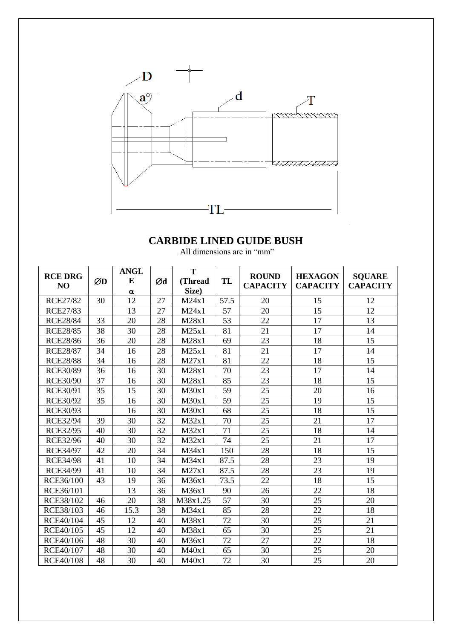

| <b>RCE DRG</b><br>NO | ØD | <b>ANGL</b><br>E | Ød | T<br>(Thread | TL              | <b>ROUND</b><br><b>CAPACITY</b> | <b>HEXAGON</b><br><b>CAPACITY</b> | <b>SQUARE</b><br><b>CAPACITY</b> |
|----------------------|----|------------------|----|--------------|-----------------|---------------------------------|-----------------------------------|----------------------------------|
|                      |    | α                |    | Size)        |                 |                                 |                                   |                                  |
| <b>RCE27/82</b>      | 30 | 12               | 27 | M24x1        | 57.5            | 20                              | 15                                | 12                               |
| <b>RCE27/83</b>      |    | 13               | 27 | M24x1        | 57              | 20                              | 15                                | 12                               |
| <b>RCE28/84</b>      | 33 | 20               | 28 | M28x1        | 53              | 22                              | 17                                | 13                               |
| <b>RCE28/85</b>      | 38 | 30               | 28 | M25x1        | 81              | 21                              | 17                                | 14                               |
| <b>RCE28/86</b>      | 36 | 20               | 28 | M28x1        | 69              | 23                              | 18                                | 15                               |
| <b>RCE28/87</b>      | 34 | 16               | 28 | M25x1        | 81              | 21                              | 17                                | 14                               |
| <b>RCE28/88</b>      | 34 | 16               | 28 | M27x1        | 81              | 22                              | 18                                | 15                               |
| <b>RCE30/89</b>      | 36 | 16               | 30 | M28x1        | 70              | 23                              | 17                                | 14                               |
| <b>RCE30/90</b>      | 37 | 16               | 30 | M28x1        | 85              | 23                              | 18                                | 15                               |
| RCE30/91             | 35 | 15               | 30 | M30x1        | 59              | 25                              | 20                                | 16                               |
| <b>RCE30/92</b>      | 35 | 16               | 30 | M30x1        | 59              | 25                              | 19                                | 15                               |
| <b>RCE30/93</b>      |    | 16               | 30 | M30x1        | 68              | 25                              | 18                                | 15                               |
| <b>RCE32/94</b>      | 39 | 30               | 32 | M32x1        | 70              | 25                              | 21                                | 17                               |
| <b>RCE32/95</b>      | 40 | 30               | 32 | M32x1        | 71              | 25                              | 18                                | 14                               |
| <b>RCE32/96</b>      | 40 | 30               | 32 | M32x1        | 74              | 25                              | 21                                | 17                               |
| <b>RCE34/97</b>      | 42 | 20               | 34 | M34x1        | 150             | 28                              | 18                                | 15                               |
| <b>RCE34/98</b>      | 41 | 10               | 34 | M34x1        | 87.5            | 28                              | 23                                | 19                               |
| <b>RCE34/99</b>      | 41 | 10               | 34 | M27x1        | 87.5            | 28                              | 23                                | 19                               |
| RCE36/100            | 43 | 19               | 36 | M36x1        | 73.5            | 22                              | 18                                | 15                               |
| RCE36/101            |    | 13               | 36 | M36x1        | 90              | 26                              | 22                                | 18                               |
| RCE38/102            | 46 | 20               | 38 | M38x1.25     | $\overline{57}$ | 30                              | 25                                | 20                               |
| RCE38/103            | 46 | 15.3             | 38 | M34x1        | 85              | 28                              | 22                                | 18                               |
| RCE40/104            | 45 | 12               | 40 | M38x1        | 72              | 30                              | 25                                | 21                               |
| RCE40/105            | 45 | 12               | 40 | M38x1        | 65              | 30                              | 25                                | 21                               |
| RCE40/106            | 48 | 30               | 40 | M36x1        | 72              | 27                              | 22                                | 18                               |
| RCE40/107            | 48 | 30               | 40 | M40x1        | 65              | 30                              | 25                                | 20                               |
| <b>RCE40/108</b>     | 48 | 30               | 40 | M40x1        | 72              | 30                              | 25                                | 20                               |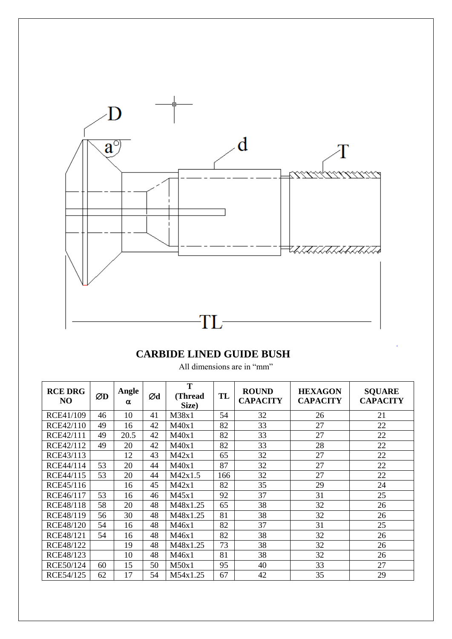

| <b>RCE DRG</b><br>N <sub>O</sub> | ØD | Angle<br>α | Ød | T<br>(Thread<br>Size) | TL  | <b>ROUND</b><br><b>CAPACITY</b> | <b>HEXAGON</b><br><b>CAPACITY</b> | <b>SQUARE</b><br><b>CAPACITY</b> |
|----------------------------------|----|------------|----|-----------------------|-----|---------------------------------|-----------------------------------|----------------------------------|
| RCE41/109                        | 46 | 10         | 41 | M38x1                 | 54  | 32                              | 26                                | 21                               |
| RCE42/110                        | 49 | 16         | 42 | M40x1                 | 82  | 33                              | 27                                | 22                               |
| RCE42/111                        | 49 | 20.5       | 42 | M40x1                 | 82  | 33                              | 27                                | 22                               |
| RCE42/112                        | 49 | 20         | 42 | M40x1                 | 82  | 33                              | 28                                | 22                               |
| RCE43/113                        |    | 12         | 43 | M42x1                 | 65  | 32                              | 27                                | 22                               |
| RCE44/114                        | 53 | 20         | 44 | M40x1                 | 87  | 32                              | 27                                | 22                               |
| RCE44/115                        | 53 | 20         | 44 | M42x1.5               | 166 | 32                              | 27                                | 22                               |
| RCE45/116                        |    | 16         | 45 | M42x1                 | 82  | 35                              | 29                                | 24                               |
| RCE46/117                        | 53 | 16         | 46 | M45x1                 | 92  | 37                              | 31                                | 25                               |
| RCE48/118                        | 58 | 20         | 48 | M48x1.25              | 65  | 38                              | 32                                | 26                               |
| RCE48/119                        | 56 | 30         | 48 | M48x1.25              | 81  | 38                              | 32                                | 26                               |
| <b>RCE48/120</b>                 | 54 | 16         | 48 | M46x1                 | 82  | 37                              | 31                                | 25                               |
| RCE48/121                        | 54 | 16         | 48 | M46x1                 | 82  | 38                              | 32                                | 26                               |
| RCE48/122                        |    | 19         | 48 | M48x1.25              | 73  | 38                              | 32                                | 26                               |
| RCE48/123                        |    | 10         | 48 | M46x1                 | 81  | 38                              | 32                                | 26                               |
| RCE50/124                        | 60 | 15         | 50 | M50x1                 | 95  | 40                              | 33                                | 27                               |
| RCE54/125                        | 62 | 17         | 54 | M54x1.25              | 67  | 42                              | 35                                | 29                               |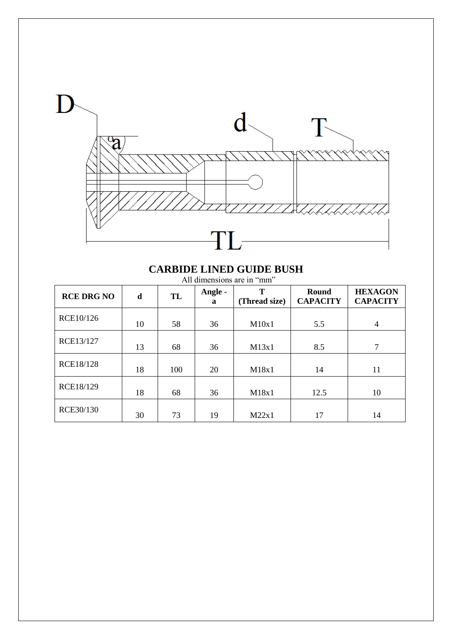

#### **CARBIDE LINED GUIDE BUSH** All dimensions are in "mm"

| <b>RCE DRG NO</b> | d  | TL  | Angle -<br>a | T<br>(Thread size) | Round<br><b>CAPACITY</b> | <b>HEXAGON</b><br><b>CAPACITY</b> |
|-------------------|----|-----|--------------|--------------------|--------------------------|-----------------------------------|
| RCE10/126         | 10 | 58  | 36           | M10x1              | 5.5                      | $\overline{4}$                    |
| RCE13/127         | 13 | 68  | 36           | M13x1              | 8.5                      | 7                                 |
| <b>RCE18/128</b>  | 18 | 100 | 20           | M18x1              | 14                       | 11                                |
| RCE18/129         | 18 | 68  | 36           | M18x1              | 12.5                     | 10                                |
| RCE30/130         | 30 | 73  | 19           | M22x1              | 17                       | 14                                |